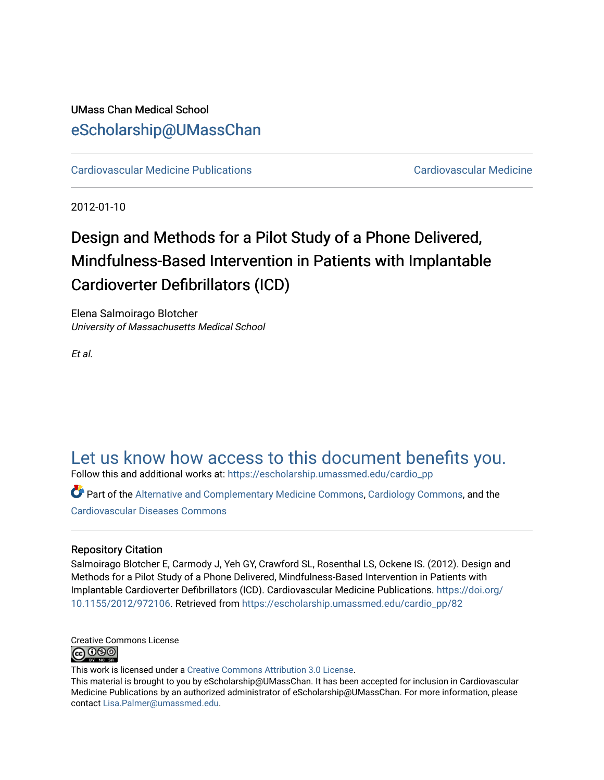### UMass Chan Medical School [eScholarship@UMassChan](https://escholarship.umassmed.edu/)

[Cardiovascular Medicine Publications](https://escholarship.umassmed.edu/cardio_pp) [Cardiovascular Medicine](https://escholarship.umassmed.edu/cardio) 

2012-01-10

# Design and Methods for a Pilot Study of a Phone Delivered, Mindfulness-Based Intervention in Patients with Implantable Cardioverter Defibrillators (ICD)

Elena Salmoirago Blotcher University of Massachusetts Medical School

Et al.

## [Let us know how access to this document benefits you.](https://arcsapps.umassmed.edu/redcap/surveys/?s=XWRHNF9EJE)

Follow this and additional works at: [https://escholarship.umassmed.edu/cardio\\_pp](https://escholarship.umassmed.edu/cardio_pp?utm_source=escholarship.umassmed.edu%2Fcardio_pp%2F82&utm_medium=PDF&utm_campaign=PDFCoverPages)

Part of the [Alternative and Complementary Medicine Commons,](http://network.bepress.com/hgg/discipline/649?utm_source=escholarship.umassmed.edu%2Fcardio_pp%2F82&utm_medium=PDF&utm_campaign=PDFCoverPages) [Cardiology Commons](http://network.bepress.com/hgg/discipline/683?utm_source=escholarship.umassmed.edu%2Fcardio_pp%2F82&utm_medium=PDF&utm_campaign=PDFCoverPages), and the [Cardiovascular Diseases Commons](http://network.bepress.com/hgg/discipline/929?utm_source=escholarship.umassmed.edu%2Fcardio_pp%2F82&utm_medium=PDF&utm_campaign=PDFCoverPages) 

#### Repository Citation

Salmoirago Blotcher E, Carmody J, Yeh GY, Crawford SL, Rosenthal LS, Ockene IS. (2012). Design and Methods for a Pilot Study of a Phone Delivered, Mindfulness-Based Intervention in Patients with Implantable Cardioverter Defibrillators (ICD). Cardiovascular Medicine Publications. [https://doi.org/](https://doi.org/10.1155/2012/972106) [10.1155/2012/972106.](https://doi.org/10.1155/2012/972106) Retrieved from [https://escholarship.umassmed.edu/cardio\\_pp/82](https://escholarship.umassmed.edu/cardio_pp/82?utm_source=escholarship.umassmed.edu%2Fcardio_pp%2F82&utm_medium=PDF&utm_campaign=PDFCoverPages)

Creative Commons License **@** 000

This work is licensed under a [Creative Commons Attribution 3.0 License](http://creativecommons.org/licenses/by/3.0/).

This material is brought to you by eScholarship@UMassChan. It has been accepted for inclusion in Cardiovascular Medicine Publications by an authorized administrator of eScholarship@UMassChan. For more information, please contact [Lisa.Palmer@umassmed.edu.](mailto:Lisa.Palmer@umassmed.edu)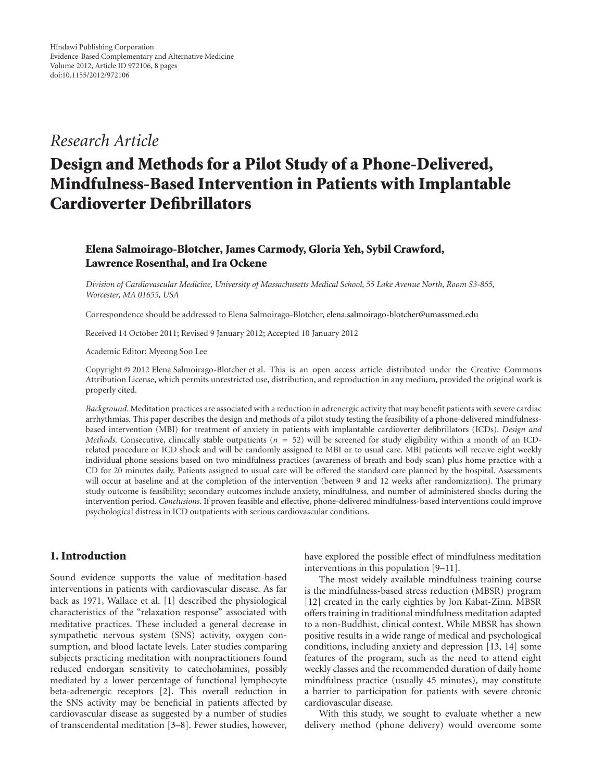### *Research Article*

# **Design and Methods for a Pilot Study of a Phone-Delivered, Mindfulness-Based Intervention in Patients with Implantable Cardioverter Defibrillators**

#### **Elena Salmoirago-Blotcher, James Carmody, Gloria Yeh, Sybil Crawford, Lawrence Rosenthal, and Ira Ockene**

*Division of Cardiovascular Medicine, University of Massachusetts Medical School, 55 Lake Avenue North, Room S3-855, Worcester, MA 01655, USA*

Correspondence should be addressed to Elena Salmoirago-Blotcher, elena.salmoirago-blotcher@umassmed.edu

Received 14 October 2011; Revised 9 January 2012; Accepted 10 January 2012

Academic Editor: Myeong Soo Lee

Copyright © 2012 Elena Salmoirago-Blotcher et al. This is an open access article distributed under the Creative Commons Attribution License, which permits unrestricted use, distribution, and reproduction in any medium, provided the original work is properly cited.

*Background*. Meditation practices are associated with a reduction in adrenergic activity that may benefit patients with severe cardiac arrhythmias. This paper describes the design and methods of a pilot study testing the feasibility of a phone-delivered mindfulnessbased intervention (MBI) for treatment of anxiety in patients with implantable cardioverter defibrillators (ICDs). *Design and Methods*. Consecutive, clinically stable outpatients (*<sup>n</sup>* <sup>=</sup> 52) will be screened for study eligibility within a month of an ICDrelated procedure or ICD shock and will be randomly assigned to MBI or to usual care. MBI patients will receive eight weekly individual phone sessions based on two mindfulness practices (awareness of breath and body scan) plus home practice with a CD for 20 minutes daily. Patients assigned to usual care will be offered the standard care planned by the hospital. Assessments will occur at baseline and at the completion of the intervention (between 9 and 12 weeks after randomization). The primary study outcome is feasibility; secondary outcomes include anxiety, mindfulness, and number of administered shocks during the intervention period. *Conclusions*. If proven feasible and effective, phone-delivered mindfulness-based interventions could improve psychological distress in ICD outpatients with serious cardiovascular conditions.

#### **1. Introduction**

Sound evidence supports the value of meditation-based interventions in patients with cardiovascular disease. As far back as 1971, Wallace et al. [1] described the physiological characteristics of the "relaxation response" associated with meditative practices. These included a general decrease in sympathetic nervous system (SNS) activity, oxygen consumption, and blood lactate levels. Later studies comparing subjects practicing meditation with nonpractitioners found reduced endorgan sensitivity to catecholamines, possibly mediated by a lower percentage of functional lymphocyte beta-adrenergic receptors [2]. This overall reduction in the SNS activity may be beneficial in patients affected by cardiovascular disease as suggested by a number of studies of transcendental meditation [3–8]. Fewer studies, however,

have explored the possible effect of mindfulness meditation interventions in this population [9–11].

The most widely available mindfulness training course is the mindfulness-based stress reduction (MBSR) program [12] created in the early eighties by Jon Kabat-Zinn. MBSR offers training in traditional mindfulness meditation adapted to a non-Buddhist, clinical context. While MBSR has shown positive results in a wide range of medical and psychological conditions, including anxiety and depression [13, 14] some features of the program, such as the need to attend eight weekly classes and the recommended duration of daily home mindfulness practice (usually 45 minutes), may constitute a barrier to participation for patients with severe chronic cardiovascular disease.

With this study, we sought to evaluate whether a new delivery method (phone delivery) would overcome some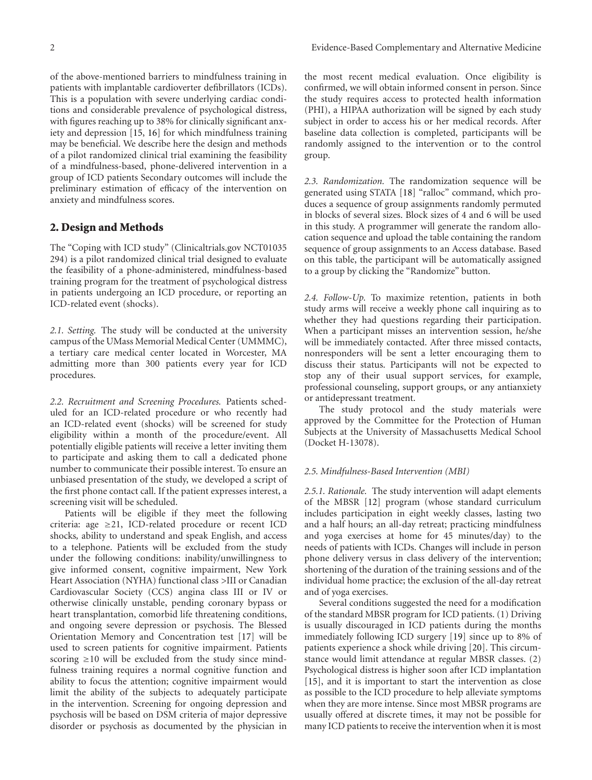of the above-mentioned barriers to mindfulness training in patients with implantable cardioverter defibrillators (ICDs). This is a population with severe underlying cardiac conditions and considerable prevalence of psychological distress, with figures reaching up to 38% for clinically significant anxiety and depression [15, 16] for which mindfulness training may be beneficial. We describe here the design and methods of a pilot randomized clinical trial examining the feasibility of a mindfulness-based, phone-delivered intervention in a group of ICD patients Secondary outcomes will include the preliminary estimation of efficacy of the intervention on anxiety and mindfulness scores.

#### **2. Design and Methods**

The "Coping with ICD study" (Clinicaltrials.gov NCT01035 294) is a pilot randomized clinical trial designed to evaluate the feasibility of a phone-administered, mindfulness-based training program for the treatment of psychological distress in patients undergoing an ICD procedure, or reporting an ICD-related event (shocks).

*2.1. Setting.* The study will be conducted at the university campus of the UMass Memorial Medical Center (UMMMC), a tertiary care medical center located in Worcester, MA admitting more than 300 patients every year for ICD procedures.

*2.2. Recruitment and Screening Procedures.* Patients scheduled for an ICD-related procedure or who recently had an ICD-related event (shocks) will be screened for study eligibility within a month of the procedure/event. All potentially eligible patients will receive a letter inviting them to participate and asking them to call a dedicated phone number to communicate their possible interest. To ensure an unbiased presentation of the study, we developed a script of the first phone contact call. If the patient expresses interest, a screening visit will be scheduled.

Patients will be eligible if they meet the following criteria: age ≥21, ICD-related procedure or recent ICD shocks*,* ability to understand and speak English, and access to a telephone. Patients will be excluded from the study under the following conditions: inability/unwillingness to give informed consent, cognitive impairment, New York Heart Association (NYHA) functional class *>*III or Canadian Cardiovascular Society (CCS) angina class III or IV or otherwise clinically unstable, pending coronary bypass or heart transplantation, comorbid life threatening conditions, and ongoing severe depression or psychosis. The Blessed Orientation Memory and Concentration test [17] will be used to screen patients for cognitive impairment. Patients scoring  $\geq 10$  will be excluded from the study since mindfulness training requires a normal cognitive function and ability to focus the attention; cognitive impairment would limit the ability of the subjects to adequately participate in the intervention. Screening for ongoing depression and psychosis will be based on DSM criteria of major depressive disorder or psychosis as documented by the physician in

the most recent medical evaluation. Once eligibility is confirmed, we will obtain informed consent in person. Since the study requires access to protected health information (PHI), a HIPAA authorization will be signed by each study subject in order to access his or her medical records. After baseline data collection is completed, participants will be randomly assigned to the intervention or to the control group.

*2.3. Randomization.* The randomization sequence will be generated using STATA [18] "ralloc" command, which produces a sequence of group assignments randomly permuted in blocks of several sizes. Block sizes of 4 and 6 will be used in this study. A programmer will generate the random allocation sequence and upload the table containing the random sequence of group assignments to an Access database. Based on this table, the participant will be automatically assigned to a group by clicking the "Randomize" button.

*2.4. Follow-Up.* To maximize retention, patients in both study arms will receive a weekly phone call inquiring as to whether they had questions regarding their participation. When a participant misses an intervention session, he/she will be immediately contacted. After three missed contacts, nonresponders will be sent a letter encouraging them to discuss their status. Participants will not be expected to stop any of their usual support services, for example, professional counseling, support groups, or any antianxiety or antidepressant treatment.

The study protocol and the study materials were approved by the Committee for the Protection of Human Subjects at the University of Massachusetts Medical School (Docket H-13078).

#### *2.5. Mindfulness-Based Intervention (MBI)*

*2.5.1. Rationale.* The study intervention will adapt elements of the MBSR [12] program (whose standard curriculum includes participation in eight weekly classes, lasting two and a half hours; an all-day retreat; practicing mindfulness and yoga exercises at home for 45 minutes/day) to the needs of patients with ICDs. Changes will include in person phone delivery versus in class delivery of the intervention; shortening of the duration of the training sessions and of the individual home practice; the exclusion of the all-day retreat and of yoga exercises.

Several conditions suggested the need for a modification of the standard MBSR program for ICD patients. (1) Driving is usually discouraged in ICD patients during the months immediately following ICD surgery [19] since up to 8% of patients experience a shock while driving [20]. This circumstance would limit attendance at regular MBSR classes. (2) Psychological distress is higher soon after ICD implantation [15], and it is important to start the intervention as close as possible to the ICD procedure to help alleviate symptoms when they are more intense. Since most MBSR programs are usually offered at discrete times, it may not be possible for many ICD patients to receive the intervention when it is most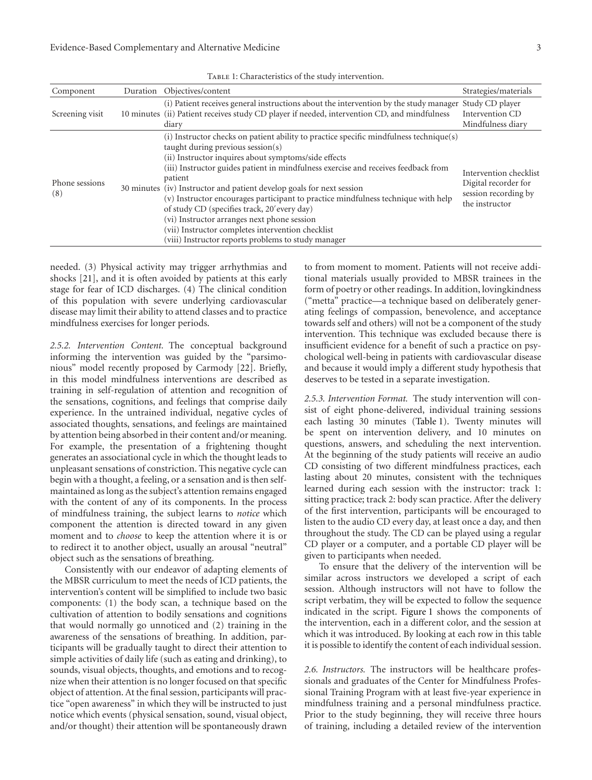| Component             | Duration Objectives/content                                                                                                                                                                                                                                                                                                                                                                                                                                                                                                                                                                                                                                      | Strategies/materials                                                                     |
|-----------------------|------------------------------------------------------------------------------------------------------------------------------------------------------------------------------------------------------------------------------------------------------------------------------------------------------------------------------------------------------------------------------------------------------------------------------------------------------------------------------------------------------------------------------------------------------------------------------------------------------------------------------------------------------------------|------------------------------------------------------------------------------------------|
| Screening visit       | (i) Patient receives general instructions about the intervention by the study manager Study CD player<br>10 minutes (ii) Patient receives study CD player if needed, intervention CD, and mindfulness<br>diary                                                                                                                                                                                                                                                                                                                                                                                                                                                   | Intervention CD<br>Mindfulness diary                                                     |
| Phone sessions<br>(8) | (i) Instructor checks on patient ability to practice specific mindfulness technique(s)<br>taught during previous session $(s)$<br>(ii) Instructor inquires about symptoms/side effects<br>(iii) Instructor guides patient in mindfulness exercise and receives feedback from<br>patient<br>30 minutes (iv) Instructor and patient develop goals for next session<br>(v) Instructor encourages participant to practice mindfulness technique with help<br>of study CD (specifies track, 20' every day)<br>(vi) Instructor arranges next phone session<br>(vii) Instructor completes intervention checklist<br>(viii) Instructor reports problems to study manager | Intervention checklist<br>Digital recorder for<br>session recording by<br>the instructor |

TABLE 1: Characteristics of the study intervention.

needed. (3) Physical activity may trigger arrhythmias and shocks [21], and it is often avoided by patients at this early stage for fear of ICD discharges. (4) The clinical condition of this population with severe underlying cardiovascular disease may limit their ability to attend classes and to practice mindfulness exercises for longer periods.

*2.5.2. Intervention Content.* The conceptual background informing the intervention was guided by the "parsimonious" model recently proposed by Carmody [22]. Briefly, in this model mindfulness interventions are described as training in self-regulation of attention and recognition of the sensations, cognitions, and feelings that comprise daily experience. In the untrained individual, negative cycles of associated thoughts, sensations, and feelings are maintained by attention being absorbed in their content and/or meaning. For example, the presentation of a frightening thought generates an associational cycle in which the thought leads to unpleasant sensations of constriction. This negative cycle can begin with a thought, a feeling, or a sensation and is then selfmaintained as long as the subject's attention remains engaged with the content of any of its components. In the process of mindfulness training, the subject learns to *notice* which component the attention is directed toward in any given moment and to *choose* to keep the attention where it is or to redirect it to another object, usually an arousal "neutral" object such as the sensations of breathing.

Consistently with our endeavor of adapting elements of the MBSR curriculum to meet the needs of ICD patients, the intervention's content will be simplified to include two basic components: (1) the body scan, a technique based on the cultivation of attention to bodily sensations and cognitions that would normally go unnoticed and (2) training in the awareness of the sensations of breathing. In addition, participants will be gradually taught to direct their attention to simple activities of daily life (such as eating and drinking), to sounds, visual objects, thoughts, and emotions and to recognize when their attention is no longer focused on that specific object of attention. At the final session, participants will practice "open awareness" in which they will be instructed to just notice which events (physical sensation, sound, visual object, and/or thought) their attention will be spontaneously drawn

to from moment to moment. Patients will not receive additional materials usually provided to MBSR trainees in the form of poetry or other readings. In addition, lovingkindness ("metta" practice—a technique based on deliberately generating feelings of compassion, benevolence, and acceptance towards self and others) will not be a component of the study intervention. This technique was excluded because there is insufficient evidence for a benefit of such a practice on psychological well-being in patients with cardiovascular disease and because it would imply a different study hypothesis that deserves to be tested in a separate investigation.

*2.5.3. Intervention Format.* The study intervention will consist of eight phone-delivered, individual training sessions each lasting 30 minutes (Table 1). Twenty minutes will be spent on intervention delivery, and 10 minutes on questions, answers, and scheduling the next intervention. At the beginning of the study patients will receive an audio CD consisting of two different mindfulness practices, each lasting about 20 minutes, consistent with the techniques learned during each session with the instructor: track 1: sitting practice; track 2: body scan practice. After the delivery of the first intervention, participants will be encouraged to listen to the audio CD every day, at least once a day, and then throughout the study. The CD can be played using a regular CD player or a computer, and a portable CD player will be given to participants when needed.

To ensure that the delivery of the intervention will be similar across instructors we developed a script of each session. Although instructors will not have to follow the script verbatim, they will be expected to follow the sequence indicated in the script. Figure 1 shows the components of the intervention, each in a different color, and the session at which it was introduced. By looking at each row in this table it is possible to identify the content of each individual session.

*2.6. Instructors.* The instructors will be healthcare professionals and graduates of the Center for Mindfulness Professional Training Program with at least five-year experience in mindfulness training and a personal mindfulness practice. Prior to the study beginning, they will receive three hours of training, including a detailed review of the intervention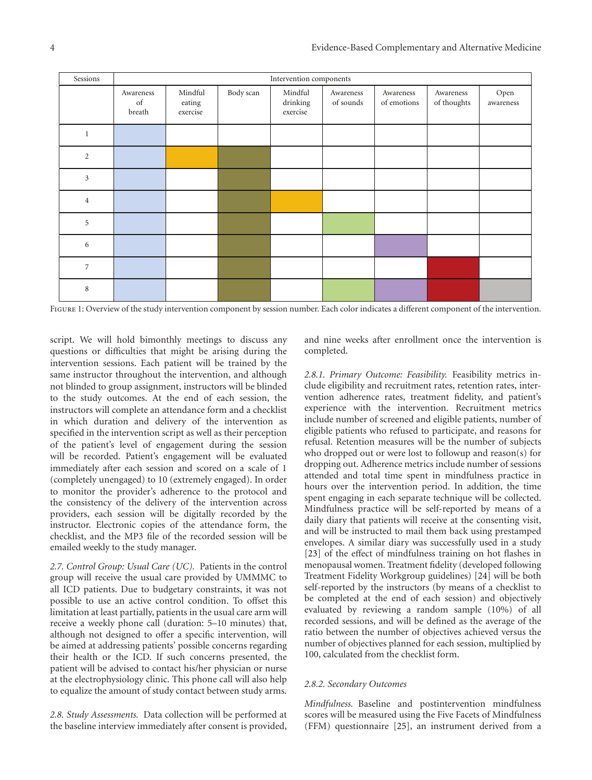| Sessions       | Intervention components   |                               |           |                                 |                        |                          |                          |                   |  |
|----------------|---------------------------|-------------------------------|-----------|---------------------------------|------------------------|--------------------------|--------------------------|-------------------|--|
|                | Awareness<br>of<br>breath | Mindful<br>eating<br>exercise | Body scan | Mindful<br>drinking<br>exercise | Awareness<br>of sounds | Awareness<br>of emotions | Awareness<br>of thoughts | Open<br>awareness |  |
| $\mathbf{1}$   |                           |                               |           |                                 |                        |                          |                          |                   |  |
| 2              |                           |                               |           |                                 |                        |                          |                          |                   |  |
| $\mathbf{3}$   |                           |                               |           |                                 |                        |                          |                          |                   |  |
| $\overline{4}$ |                           |                               |           |                                 |                        |                          |                          |                   |  |
| 5              |                           |                               |           |                                 |                        |                          |                          |                   |  |
| 6              |                           |                               |           |                                 |                        |                          |                          |                   |  |
| $\overline{7}$ |                           |                               |           |                                 |                        |                          |                          |                   |  |
| 8              |                           |                               |           |                                 |                        |                          |                          |                   |  |

Figure 1: Overview of the study intervention component by session number. Each color indicates a different component of the intervention.

script. We will hold bimonthly meetings to discuss any questions or difficulties that might be arising during the intervention sessions. Each patient will be trained by the same instructor throughout the intervention, and although not blinded to group assignment, instructors will be blinded to the study outcomes. At the end of each session, the instructors will complete an attendance form and a checklist in which duration and delivery of the intervention as specified in the intervention script as well as their perception of the patient's level of engagement during the session will be recorded. Patient's engagement will be evaluated immediately after each session and scored on a scale of 1 (completely unengaged) to 10 (extremely engaged). In order to monitor the provider's adherence to the protocol and the consistency of the delivery of the intervention across providers, each session will be digitally recorded by the instructor. Electronic copies of the attendance form, the checklist, and the MP3 file of the recorded session will be emailed weekly to the study manager.

*2.7. Control Group: Usual Care (UC).* Patients in the control group will receive the usual care provided by UMMMC to all ICD patients. Due to budgetary constraints, it was not possible to use an active control condition. To offset this limitation at least partially, patients in the usual care arm will receive a weekly phone call (duration: 5–10 minutes) that, although not designed to offer a specific intervention, will be aimed at addressing patients' possible concerns regarding their health or the ICD. If such concerns presented, the patient will be advised to contact his/her physician or nurse at the electrophysiology clinic. This phone call will also help to equalize the amount of study contact between study arms.

*2.8. Study Assessments.* Data collection will be performed at the baseline interview immediately after consent is provided,

and nine weeks after enrollment once the intervention is completed.

*2.8.1. Primary Outcome: Feasibility.* Feasibility metrics include eligibility and recruitment rates, retention rates, intervention adherence rates, treatment fidelity, and patient's experience with the intervention. Recruitment metrics include number of screened and eligible patients, number of eligible patients who refused to participate, and reasons for refusal. Retention measures will be the number of subjects who dropped out or were lost to followup and reason(s) for dropping out. Adherence metrics include number of sessions attended and total time spent in mindfulness practice in hours over the intervention period. In addition, the time spent engaging in each separate technique will be collected. Mindfulness practice will be self-reported by means of a daily diary that patients will receive at the consenting visit, and will be instructed to mail them back using prestamped envelopes. A similar diary was successfully used in a study [23] of the effect of mindfulness training on hot flashes in menopausal women. Treatment fidelity (developed following Treatment Fidelity Workgroup guidelines) [24] will be both self-reported by the instructors (by means of a checklist to be completed at the end of each session) and objectively evaluated by reviewing a random sample (10%) of all recorded sessions, and will be defined as the average of the ratio between the number of objectives achieved versus the number of objectives planned for each session, multiplied by 100, calculated from the checklist form.

#### *2.8.2. Secondary Outcomes*

*Mindfulness.* Baseline and postintervention mindfulness scores will be measured using the Five Facets of Mindfulness (FFM) questionnaire [25], an instrument derived from a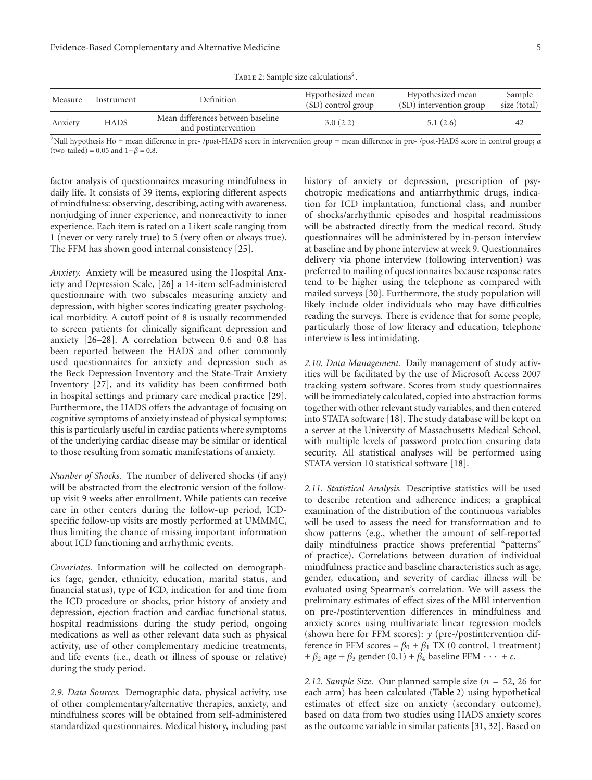TABLE 2: Sample size calculations<sup>§</sup>.

| Measure | Instrument | <b>Definition</b>                                         | Hypothesized mean<br>(SD) control group | Hypothesized mean<br>(SD) intervention group | Sample<br>size (total) |
|---------|------------|-----------------------------------------------------------|-----------------------------------------|----------------------------------------------|------------------------|
| Anxiety | HADS       | Mean differences between baseline<br>and postintervention | 3.0(2.2)                                | 5.1(2.6)                                     | 42                     |

§ Null hypothesis Ho = mean difference in pre- /post-HADS score in intervention group = mean difference in pre- /post-HADS score in control group; *α* (two-tailed) <sup>=</sup> 0.05 and 1−*<sup>β</sup>* <sup>=</sup> 0.8.

factor analysis of questionnaires measuring mindfulness in daily life. It consists of 39 items, exploring different aspects of mindfulness: observing, describing, acting with awareness, nonjudging of inner experience, and nonreactivity to inner experience. Each item is rated on a Likert scale ranging from 1 (never or very rarely true) to 5 (very often or always true). The FFM has shown good internal consistency [25].

*Anxiety.* Anxiety will be measured using the Hospital Anxiety and Depression Scale, [26] a 14-item self-administered questionnaire with two subscales measuring anxiety and depression, with higher scores indicating greater psychological morbidity. A cutoff point of 8 is usually recommended to screen patients for clinically significant depression and anxiety [26–28]. A correlation between 0.6 and 0.8 has been reported between the HADS and other commonly used questionnaires for anxiety and depression such as the Beck Depression Inventory and the State-Trait Anxiety Inventory [27], and its validity has been confirmed both in hospital settings and primary care medical practice [29]. Furthermore, the HADS offers the advantage of focusing on cognitive symptoms of anxiety instead of physical symptoms; this is particularly useful in cardiac patients where symptoms of the underlying cardiac disease may be similar or identical to those resulting from somatic manifestations of anxiety.

*Number of Shocks.* The number of delivered shocks (if any) will be abstracted from the electronic version of the followup visit 9 weeks after enrollment. While patients can receive care in other centers during the follow-up period, ICDspecific follow-up visits are mostly performed at UMMMC, thus limiting the chance of missing important information about ICD functioning and arrhythmic events.

*Covariates.* Information will be collected on demographics (age, gender, ethnicity, education, marital status, and financial status), type of ICD, indication for and time from the ICD procedure or shocks, prior history of anxiety and depression, ejection fraction and cardiac functional status, hospital readmissions during the study period, ongoing medications as well as other relevant data such as physical activity, use of other complementary medicine treatments, and life events (i.e., death or illness of spouse or relative) during the study period.

*2.9. Data Sources.* Demographic data, physical activity, use of other complementary/alternative therapies, anxiety, and mindfulness scores will be obtained from self-administered standardized questionnaires. Medical history, including past

history of anxiety or depression, prescription of psychotropic medications and antiarrhythmic drugs, indication for ICD implantation, functional class, and number of shocks/arrhythmic episodes and hospital readmissions will be abstracted directly from the medical record. Study questionnaires will be administered by in-person interview at baseline and by phone interview at week 9. Questionnaires delivery via phone interview (following intervention) was preferred to mailing of questionnaires because response rates tend to be higher using the telephone as compared with mailed surveys [30]. Furthermore, the study population will likely include older individuals who may have difficulties reading the surveys. There is evidence that for some people, particularly those of low literacy and education, telephone interview is less intimidating.

*2.10. Data Management.* Daily management of study activities will be facilitated by the use of Microsoft Access 2007 tracking system software. Scores from study questionnaires will be immediately calculated, copied into abstraction forms together with other relevant study variables, and then entered into STATA software [18]. The study database will be kept on a server at the University of Massachusetts Medical School, with multiple levels of password protection ensuring data security. All statistical analyses will be performed using STATA version 10 statistical software [18].

*2.11. Statistical Analysis.* Descriptive statistics will be used to describe retention and adherence indices; a graphical examination of the distribution of the continuous variables will be used to assess the need for transformation and to show patterns (e.g., whether the amount of self-reported daily mindfulness practice shows preferential "patterns" of practice). Correlations between duration of individual mindfulness practice and baseline characteristics such as age, gender, education, and severity of cardiac illness will be evaluated using Spearman's correlation. We will assess the preliminary estimates of effect sizes of the MBI intervention on pre-/postintervention differences in mindfulness and anxiety scores using multivariate linear regression models (shown here for FFM scores): *y* (pre-/postintervention difference in FFM scores =  $\beta_0 + \beta_1$  TX (0 control, 1 treatment) +  $\beta_2$  age +  $\beta_3$  gender (0,1) +  $\beta_4$  baseline FFM  $\cdots$  +  $\varepsilon$ .

*2.12. Sample Size.* Our planned sample size (*<sup>n</sup>* <sup>=</sup> 52, 26 for each arm) has been calculated (Table 2) using hypothetical estimates of effect size on anxiety (secondary outcome), based on data from two studies using HADS anxiety scores as the outcome variable in similar patients [31, 32]. Based on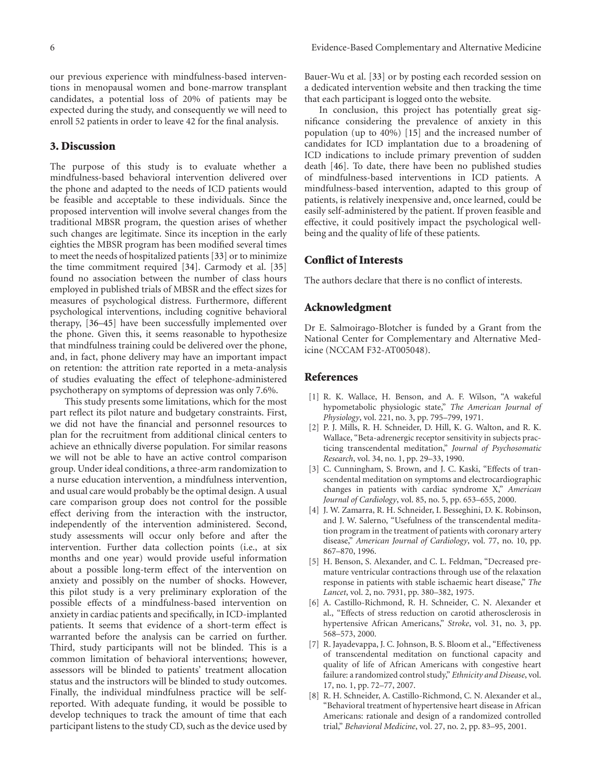our previous experience with mindfulness-based interventions in menopausal women and bone-marrow transplant candidates, a potential loss of 20% of patients may be expected during the study, and consequently we will need to enroll 52 patients in order to leave 42 for the final analysis.

#### **3. Discussion**

The purpose of this study is to evaluate whether a mindfulness-based behavioral intervention delivered over the phone and adapted to the needs of ICD patients would be feasible and acceptable to these individuals. Since the proposed intervention will involve several changes from the traditional MBSR program, the question arises of whether such changes are legitimate. Since its inception in the early eighties the MBSR program has been modified several times to meet the needs of hospitalized patients [33] or to minimize the time commitment required [34]. Carmody et al. [35] found no association between the number of class hours employed in published trials of MBSR and the effect sizes for measures of psychological distress. Furthermore, different psychological interventions, including cognitive behavioral therapy, [36–45] have been successfully implemented over the phone. Given this, it seems reasonable to hypothesize that mindfulness training could be delivered over the phone, and, in fact, phone delivery may have an important impact on retention: the attrition rate reported in a meta-analysis of studies evaluating the effect of telephone-administered psychotherapy on symptoms of depression was only 7.6%.

This study presents some limitations, which for the most part reflect its pilot nature and budgetary constraints. First, we did not have the financial and personnel resources to plan for the recruitment from additional clinical centers to achieve an ethnically diverse population. For similar reasons we will not be able to have an active control comparison group. Under ideal conditions, a three-arm randomization to a nurse education intervention, a mindfulness intervention, and usual care would probably be the optimal design. A usual care comparison group does not control for the possible effect deriving from the interaction with the instructor, independently of the intervention administered. Second, study assessments will occur only before and after the intervention. Further data collection points (i.e., at six months and one year) would provide useful information about a possible long-term effect of the intervention on anxiety and possibly on the number of shocks. However, this pilot study is a very preliminary exploration of the possible effects of a mindfulness-based intervention on anxiety in cardiac patients and specifically, in ICD-implanted patients. It seems that evidence of a short-term effect is warranted before the analysis can be carried on further. Third, study participants will not be blinded. This is a common limitation of behavioral interventions; however, assessors will be blinded to patients' treatment allocation status and the instructors will be blinded to study outcomes. Finally, the individual mindfulness practice will be selfreported. With adequate funding, it would be possible to develop techniques to track the amount of time that each participant listens to the study CD, such as the device used by

Bauer-Wu et al. [33] or by posting each recorded session on a dedicated intervention website and then tracking the time that each participant is logged onto the website.

In conclusion, this project has potentially great significance considering the prevalence of anxiety in this population (up to 40%) [15] and the increased number of candidates for ICD implantation due to a broadening of ICD indications to include primary prevention of sudden death [46]. To date, there have been no published studies of mindfulness-based interventions in ICD patients. A mindfulness-based intervention, adapted to this group of patients, is relatively inexpensive and, once learned, could be easily self-administered by the patient. If proven feasible and effective, it could positively impact the psychological wellbeing and the quality of life of these patients.

#### **Conflict of Interests**

The authors declare that there is no conflict of interests.

#### **Acknowledgment**

Dr E. Salmoirago-Blotcher is funded by a Grant from the National Center for Complementary and Alternative Medicine (NCCAM F32-AT005048).

#### **References**

- [1] R. K. Wallace, H. Benson, and A. F. Wilson, "A wakeful hypometabolic physiologic state," *The American Journal of Physiology*, vol. 221, no. 3, pp. 795–799, 1971.
- [2] P. J. Mills, R. H. Schneider, D. Hill, K. G. Walton, and R. K. Wallace, "Beta-adrenergic receptor sensitivity in subjects practicing transcendental meditation," *Journal of Psychosomatic Research*, vol. 34, no. 1, pp. 29–33, 1990.
- [3] C. Cunningham, S. Brown, and J. C. Kaski, "Effects of transcendental meditation on symptoms and electrocardiographic changes in patients with cardiac syndrome X," *American Journal of Cardiology*, vol. 85, no. 5, pp. 653–655, 2000.
- [4] J. W. Zamarra, R. H. Schneider, I. Besseghini, D. K. Robinson, and J. W. Salerno, "Usefulness of the transcendental meditation program in the treatment of patients with coronary artery disease," *American Journal of Cardiology*, vol. 77, no. 10, pp. 867–870, 1996.
- [5] H. Benson, S. Alexander, and C. L. Feldman, "Decreased premature ventricular contractions through use of the relaxation response in patients with stable ischaemic heart disease," *The Lancet*, vol. 2, no. 7931, pp. 380–382, 1975.
- [6] A. Castillo-Richmond, R. H. Schneider, C. N. Alexander et al., "Effects of stress reduction on carotid atherosclerosis in hypertensive African Americans," *Stroke*, vol. 31, no. 3, pp. 568–573, 2000.
- [7] R. Jayadevappa, J. C. Johnson, B. S. Bloom et al., "Effectiveness of transcendental meditation on functional capacity and quality of life of African Americans with congestive heart failure: a randomized control study," *Ethnicity and Disease*, vol. 17, no. 1, pp. 72–77, 2007.
- [8] R. H. Schneider, A. Castillo-Richmond, C. N. Alexander et al., "Behavioral treatment of hypertensive heart disease in African Americans: rationale and design of a randomized controlled trial," *Behavioral Medicine*, vol. 27, no. 2, pp. 83–95, 2001.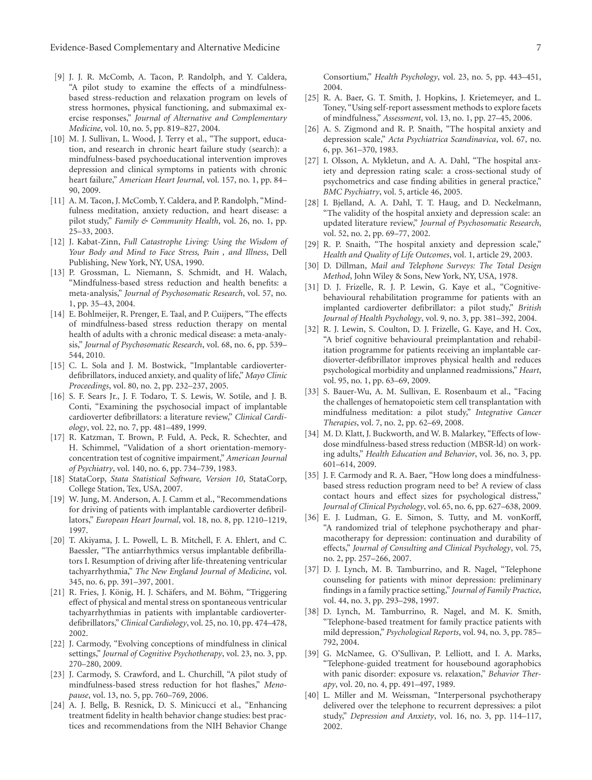- [9] J. J. R. McComb, A. Tacon, P. Randolph, and Y. Caldera, "A pilot study to examine the effects of a mindfulnessbased stress-reduction and relaxation program on levels of stress hormones, physical functioning, and submaximal exercise responses," *Journal of Alternative and Complementary Medicine*, vol. 10, no. 5, pp. 819–827, 2004.
- [10] M. J. Sullivan, L. Wood, J. Terry et al., "The support, education, and research in chronic heart failure study (search): a mindfulness-based psychoeducational intervention improves depression and clinical symptoms in patients with chronic heart failure," *American Heart Journal*, vol. 157, no. 1, pp. 84– 90, 2009.
- [11] A. M. Tacon, J. McComb, Y. Caldera, and P. Randolph, "Mindfulness meditation, anxiety reduction, and heart disease: a pilot study," *Family & Community Health*, vol. 26, no. 1, pp. 25–33, 2003.
- [12] J. Kabat-Zinn, *Full Catastrophe Living: Using the Wisdom of Your Body and Mind to Face Stress, Pain , and Illness*, Dell Publishing, New York, NY, USA, 1990.
- [13] P. Grossman, L. Niemann, S. Schmidt, and H. Walach, "Mindfulness-based stress reduction and health benefits: a meta-analysis," *Journal of Psychosomatic Research*, vol. 57, no. 1, pp. 35–43, 2004.
- [14] E. Bohlmeijer, R. Prenger, E. Taal, and P. Cuijpers, "The effects of mindfulness-based stress reduction therapy on mental health of adults with a chronic medical disease: a meta-analysis," *Journal of Psychosomatic Research*, vol. 68, no. 6, pp. 539– 544, 2010.
- [15] C. L. Sola and J. M. Bostwick, "Implantable cardioverterdefibrillators, induced anxiety, and quality of life," *Mayo Clinic Proceedings*, vol. 80, no. 2, pp. 232–237, 2005.
- [16] S. F. Sears Jr., J. F. Todaro, T. S. Lewis, W. Sotile, and J. B. Conti, "Examining the psychosocial impact of implantable cardioverter defibrillators: a literature review," *Clinical Cardiology*, vol. 22, no. 7, pp. 481–489, 1999.
- [17] R. Katzman, T. Brown, P. Fuld, A. Peck, R. Schechter, and H. Schimmel, "Validation of a short orientation-memoryconcentration test of cognitive impairment," *American Journal of Psychiatry*, vol. 140, no. 6, pp. 734–739, 1983.
- [18] StataCorp, *Stata Statistical Software, Version 10*, StataCorp, College Station, Tex, USA, 2007.
- [19] W. Jung, M. Anderson, A. J. Camm et al., "Recommendations for driving of patients with implantable cardioverter defibrillators," *European Heart Journal*, vol. 18, no. 8, pp. 1210–1219, 1997.
- [20] T. Akiyama, J. L. Powell, L. B. Mitchell, F. A. Ehlert, and C. Baessler, "The antiarrhythmics versus implantable defibrillators I. Resumption of driving after life-threatening ventricular tachyarrhythmia," *The New England Journal of Medicine*, vol. 345, no. 6, pp. 391–397, 2001.
- [21] R. Fries, J. König, H. J. Schäfers, and M. Böhm, "Triggering effect of physical and mental stress on spontaneous ventricular tachyarrhythmias in patients with implantable cardioverterdefibrillators," *Clinical Cardiology*, vol. 25, no. 10, pp. 474–478, 2002.
- [22] J. Carmody, "Evolving conceptions of mindfulness in clinical settings," *Journal of Cognitive Psychotherapy*, vol. 23, no. 3, pp. 270–280, 2009.
- [23] J. Carmody, S. Crawford, and L. Churchill, "A pilot study of mindfulness-based stress reduction for hot flashes," *Menopause*, vol. 13, no. 5, pp. 760–769, 2006.
- [24] A. J. Bellg, B. Resnick, D. S. Minicucci et al., "Enhancing treatment fidelity in health behavior change studies: best practices and recommendations from the NIH Behavior Change

Consortium," *Health Psychology*, vol. 23, no. 5, pp. 443–451, 2004.

- [25] R. A. Baer, G. T. Smith, J. Hopkins, J. Krietemeyer, and L. Toney, "Using self-report assessment methods to explore facets of mindfulness," *Assessment*, vol. 13, no. 1, pp. 27–45, 2006.
- [26] A. S. Zigmond and R. P. Snaith, "The hospital anxiety and depression scale," *Acta Psychiatrica Scandinavica*, vol. 67, no. 6, pp. 361–370, 1983.
- [27] I. Olsson, A. Mykletun, and A. A. Dahl, "The hospital anxiety and depression rating scale: a cross-sectional study of psychometrics and case finding abilities in general practice," *BMC Psychiatry*, vol. 5, article 46, 2005.
- [28] I. Bjelland, A. A. Dahl, T. T. Haug, and D. Neckelmann, "The validity of the hospital anxiety and depression scale: an updated literature review," *Journal of Psychosomatic Research*, vol. 52, no. 2, pp. 69–77, 2002.
- [29] R. P. Snaith, "The hospital anxiety and depression scale," *Health and Quality of Life Outcomes*, vol. 1, article 29, 2003.
- [30] D. Dillman, *Mail and Telephone Surveys: The Total Design Method*, John Wiley & Sons, New York, NY, USA, 1978.
- [31] D. J. Frizelle, R. J. P. Lewin, G. Kaye et al., "Cognitivebehavioural rehabilitation programme for patients with an implanted cardioverter defibrillator: a pilot study," *British Journal of Health Psychology*, vol. 9, no. 3, pp. 381–392, 2004.
- [32] R. J. Lewin, S. Coulton, D. J. Frizelle, G. Kaye, and H. Cox, "A brief cognitive behavioural preimplantation and rehabilitation programme for patients receiving an implantable cardioverter-defibrillator improves physical health and reduces psychological morbidity and unplanned readmissions," *Heart*, vol. 95, no. 1, pp. 63–69, 2009.
- [33] S. Bauer-Wu, A. M. Sullivan, E. Rosenbaum et al., "Facing the challenges of hematopoietic stem cell transplantation with mindfulness meditation: a pilot study," *Integrative Cancer Therapies*, vol. 7, no. 2, pp. 62–69, 2008.
- [34] M. D. Klatt, J. Buckworth, and W. B. Malarkey, "Effects of lowdose mindfulness-based stress reduction (MBSR-ld) on working adults," *Health Education and Behavior*, vol. 36, no. 3, pp. 601–614, 2009.
- [35] J. F. Carmody and R. A. Baer, "How long does a mindfulnessbased stress reduction program need to be? A review of class contact hours and effect sizes for psychological distress," *Journal of Clinical Psychology*, vol. 65, no. 6, pp. 627–638, 2009.
- [36] E. J. Ludman, G. E. Simon, S. Tutty, and M. vonKorff, "A randomized trial of telephone psychotherapy and pharmacotherapy for depression: continuation and durability of effects," *Journal of Consulting and Clinical Psychology*, vol. 75, no. 2, pp. 257–266, 2007.
- [37] D. J. Lynch, M. B. Tamburrino, and R. Nagel, "Telephone counseling for patients with minor depression: preliminary findings in a family practice setting," *Journal of Family Practice*, vol. 44, no. 3, pp. 293–298, 1997.
- [38] D. Lynch, M. Tamburrino, R. Nagel, and M. K. Smith, "Telephone-based treatment for family practice patients with mild depression," *Psychological Reports*, vol. 94, no. 3, pp. 785– 792, 2004.
- [39] G. McNamee, G. O'Sullivan, P. Lelliott, and I. A. Marks, "Telephone-guided treatment for housebound agoraphobics with panic disorder: exposure vs. relaxation," *Behavior Therapy*, vol. 20, no. 4, pp. 491–497, 1989.
- [40] L. Miller and M. Weissman, "Interpersonal psychotherapy delivered over the telephone to recurrent depressives: a pilot study," *Depression and Anxiety*, vol. 16, no. 3, pp. 114–117, 2002.